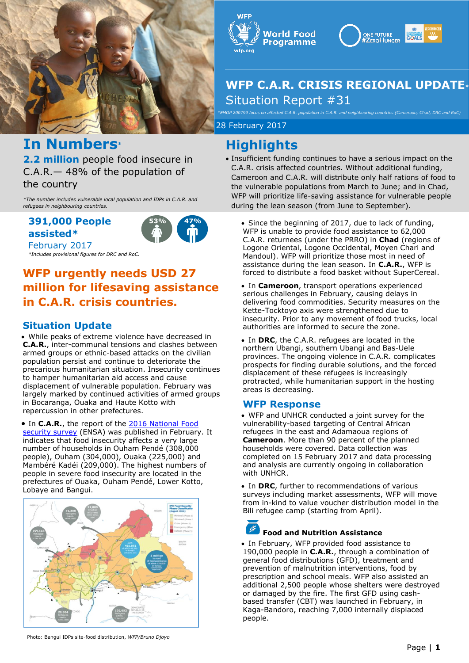

## **In Numbers\***

**2.2 million** people food insecure in C.A.R.— 48% of the population of the country

*\*The number includes vulnerable local population and IDPs in C.A.R. and refugees in neighbouring countries.* 

### **391,000 People assisted\***

*\*Includes provisional figures for DRC and RoC.*

February 2017



## **WFP urgently needs USD 27 million for lifesaving assistance in C.A.R. crisis countries.**

### **Situation Update**

 While peaks of extreme violence have decreased in **C.A.R.**, inter-communal tensions and clashes between armed groups or ethnic-based attacks on the civilian population persist and continue to deteriorate the precarious humanitarian situation. Insecurity continues to hamper humanitarian aid access and cause displacement of vulnerable population. February was largely marked by continued activities of armed groups in Bocaranga, Ouaka and Haute Kotto with repercussion in other prefectures.

**.** In C.A.R., the report of the 2016 National Food [security survey](http://reliefweb.int/report/central-african-republic/r-publique-centrafricaine-enqu-te-nationale-sur-la-s-curit) (ENSA) was published in February. It indicates that food insecurity affects a very large number of households in Ouham Pendé (308,000 people), Ouham (304,000), Ouaka (225,000) and Mambéré Kadéi (209,000). The highest numbers of people in severe food insecurity are located in the prefectures of Ouaka, Ouham Pendé, Lower Kotto, Lobaye and Bangui.







## **WFP C.A.R. CRISIS REGIONAL UPDATE\*** Situation Report #31

*\*EMOP 200799 focus on affected C.A.R. population in C.A.R. and neighbouring countries (Cameroon, Chad, DRC and RoC)*

28 February 2017 28 February 2017

## **Highlights**

- Insufficient funding continues to have a serious impact on the C.A.R. crisis affected countries. Without additional funding, Cameroon and C.A.R. will distribute only half rations of food to the vulnerable populations from March to June; and in Chad, WFP will prioritize life-saving assistance for vulnerable people during the lean season (from June to September).
	- Since the beginning of 2017, due to lack of funding, WFP is unable to provide food assistance to 62,000 C.A.R. returnees (under the PRRO) in **Chad** (regions of Logone Oriental, Logone Occidental, Moyen Chari and Mandoul). WFP will prioritize those most in need of assistance during the lean season. In **C.A.R.**, WFP is forced to distribute a food basket without SuperCereal.
	- In **Cameroon**, transport operations experienced serious challenges in February, causing delays in delivering food commodities. Security measures on the Kette-Tocktoyo axis were strengthened due to insecurity. Prior to any movement of food trucks, local authorities are informed to secure the zone.
	- In **DRC**, the C.A.R. refugees are located in the northern Ubangi, southern Ubangi and Bas-Uele provinces. The ongoing violence in C.A.R. complicates prospects for finding durable solutions, and the forced displacement of these refugees is increasingly protracted, while humanitarian support in the hosting areas is decreasing.

### **WFP Response**

- WFP and UNHCR conducted a joint survey for the vulnerability-based targeting of Central African refugees in the east and Adamaoua regions of **Cameroon**. More than 90 percent of the planned households were covered. Data collection was completed on 15 February 2017 and data processing and analysis are currently ongoing in collaboration with UNHCR.
- In DRC, further to recommendations of various surveys including market assessments, WFP will move from in-kind to value voucher distribution model in the Bili refugee camp (starting from April).

## **Food and Nutrition Assistance**

 In February, WFP provided food assistance to 190,000 people in **C.A.R.**, through a combination of general food distributions (GFD), treatment and prevention of malnutrition interventions, food by prescription and school meals. WFP also assisted an additional 2,500 people whose shelters were destroyed or damaged by the fire. The first GFD using cashbased transfer (CBT) was launched in February, in Kaga-Bandoro, reaching 7,000 internally displaced people.